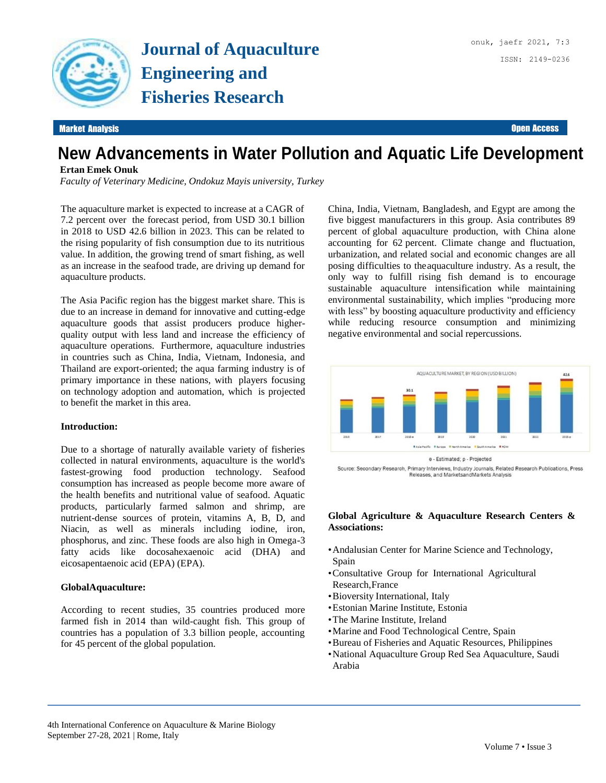

Market Analysis Open Access

# **New Advancements in Water Pollution and Aquatic Life Development**

### **Ertan Emek Onuk**

*Faculty of Veterinary Medicine, Ondokuz Mayis university, Turkey*

The aquaculture market is expected to increase at a CAGR of 7.2 percent over the forecast period, from USD 30.1 billion in 2018 to USD 42.6 billion in 2023. This can be related to the rising popularity of fish consumption due to its nutritious value. In addition, the growing trend of smart fishing, as well as an increase in the seafood trade, are driving up demand for aquaculture products.

The Asia Pacific region has the biggest market share. This is due to an increase in demand for innovative and cutting-edge aquaculture goods that assist producers produce higherquality output with less land and increase the efficiency of aquaculture operations. Furthermore, aquaculture industries in countries such as China, India, Vietnam, Indonesia, and Thailand are export-oriented; the aqua farming industry is of primary importance in these nations, with players focusing on technology adoption and automation, which is projected to benefit the market in this area.

#### **Introduction:**

Due to a shortage of naturally available variety of fisheries collected in natural environments, aquaculture is the world's fastest-growing food production technology. Seafood consumption has increased as people become more aware of the health benefits and nutritional value of seafood. Aquatic products, particularly farmed salmon and shrimp, are nutrient-dense sources of protein, vitamins A, B, D, and Niacin, as well as minerals including iodine, iron, phosphorus, and zinc. These foods are also high in Omega-3 fatty acids like docosahexaenoic acid (DHA) and eicosapentaenoic acid (EPA) (EPA).

#### **GlobalAquaculture:**

According to recent studies, 35 countries produced more farmed fish in 2014 than wild-caught fish. This group of countries has a population of 3.3 billion people, accounting for 45 percent of the global population.

China, India, Vietnam, Bangladesh, and Egypt are among the five biggest manufacturers in this group. Asia contributes 89 percent of global aquaculture production, with China alone accounting for 62 percent. Climate change and fluctuation, urbanization, and related social and economic changes are all posing difficulties to theaquaculture industry. As a result, the only way to fulfill rising fish demand is to encourage sustainable aquaculture intensification while maintaining environmental sustainability, which implies "producing more with less" by boosting aquaculture productivity and efficiency while reducing resource consumption and minimizing negative environmental and social repercussions.



Source: Secondary Research, Primary Interviews, Industry Journals, Related Research Publications, Press Releases, and MarketsandMarkets Analysis

#### **Global Agriculture & Aquaculture Research Centers & Associations:**

- •Andalusian Center for Marine Science and Technology, Spain
- •Consultative Group for International Agricultural Research,France
- •Bioversity International, Italy
- •Estonian Marine Institute, Estonia
- •The Marine Institute, Ireland
- •Marine and Food Technological Centre, Spain
- •Bureau of Fisheries and Aquatic Resources, Philippines
- •National Aquaculture Group Red Sea Aquaculture, Saudi Arabia